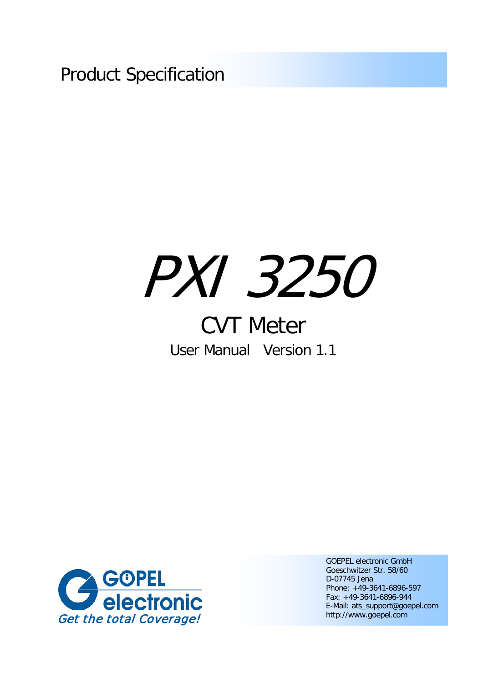Product Specification

# PXI 3250

# CVT Meter User Manual Version 1.1



GOEPEL electronic GmbH Goeschwitzer Str. 58/60 D-07745 Jena Phone: +49-3641-6896-597 Fax: +49-3641-6896-944 E-Mail: ats\_support@goepel.com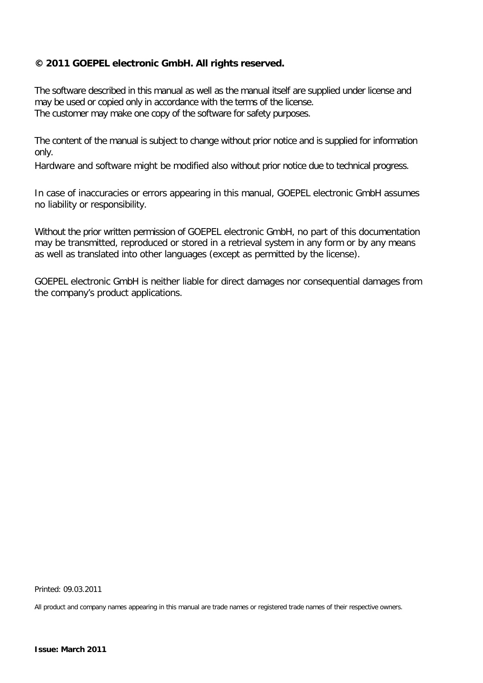#### **© 2011 GOEPEL electronic GmbH. All rights reserved.**

The software described in this manual as well as the manual itself are supplied under license and may be used or copied only in accordance with the terms of the license. The customer may make one copy of the software for safety purposes.

The content of the manual is subject to change without prior notice and is supplied for information only.

Hardware and software might be modified also without prior notice due to technical progress.

In case of inaccuracies or errors appearing in this manual, GOEPEL electronic GmbH assumes no liability or responsibility.

Without the prior written permission of GOEPEL electronic GmbH, no part of this documentation may be transmitted, reproduced or stored in a retrieval system in any form or by any means as well as translated into other languages (except as permitted by the license).

GOEPEL electronic GmbH is neither liable for direct damages nor consequential damages from the company's product applications.

Printed: 09.03.2011

All product and company names appearing in this manual are trade names or registered trade names of their respective owners.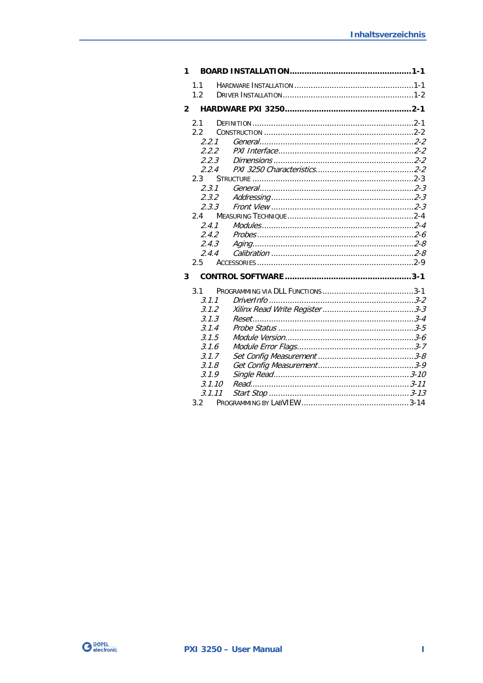| 1            |        |       |  |
|--------------|--------|-------|--|
|              | 1.1    |       |  |
|              | 1.2    |       |  |
| $\mathbf{2}$ |        |       |  |
|              | 2.1    |       |  |
|              | 2.2    |       |  |
|              | 2.2.1  |       |  |
|              | 2.2.2  |       |  |
|              |        | 2.2.3 |  |
|              | 2.2.4  |       |  |
|              | 2.3    |       |  |
|              | 2.3.1  |       |  |
|              | 2.3.2  |       |  |
|              | 2.3.3  |       |  |
|              | 2.4    |       |  |
|              | 2.4.1  |       |  |
|              | 2.4.2  |       |  |
|              | 2.4.3  |       |  |
|              | 2.4.4  |       |  |
|              | 2.5    |       |  |
| 3            |        |       |  |
|              | 3.1    |       |  |
|              | 3.1.1  |       |  |
|              | 3.1.2  |       |  |
|              | 3.1.3  |       |  |
|              | 3.1.4  |       |  |
|              | 3.1.5  |       |  |
|              | 3.16   |       |  |
|              | 3.1.7  |       |  |
|              | 3.1.8  |       |  |
|              | 3.1.9  |       |  |
|              | 3.1.10 |       |  |
|              | 3.1.11 |       |  |
|              | 3.2    |       |  |

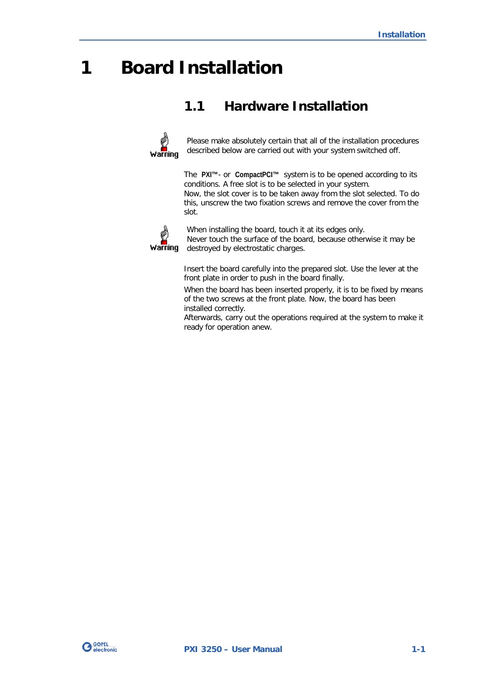# <span id="page-4-0"></span>**1 Board Installation**

# <span id="page-4-1"></span>**1.1 Hardware Installation**



Please make absolutely certain that all of the installation procedures described below are carried out with your system switched off.

The **PXI™**- or **CompactPCI™** system is to be opened according to its conditions. A free slot is to be selected in your system.

Now, the slot cover is to be taken away from the slot selected. To do this, unscrew the two fixation screws and remove the cover from the slot.



When installing the board, touch it at its edges only.

Never touch the surface of the board, because otherwise it may be destroyed by electrostatic charges.

Insert the board carefully into the prepared slot. Use the lever at the front plate in order to push in the board finally.

When the board has been inserted properly, it is to be fixed by means of the two screws at the front plate. Now, the board has been installed correctly.

Afterwards, carry out the operations required at the system to make it ready for operation anew.

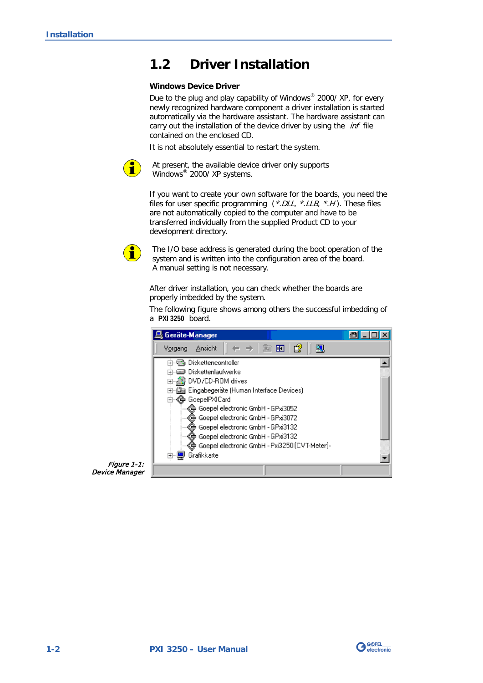# <span id="page-5-0"></span>**1.2 Driver Installation**

#### **Windows Device Driver**

Due to the plug and play capability of Windows® 2000/ XP, for every newly recognized hardware component a driver installation is started automatically via the hardware assistant. The hardware assistant can carry out the installation of the device driver by using the *inf* file contained on the enclosed CD.

It is not absolutely essential to restart the system.



At present, the available device driver only supports Windows® 2000/ XP systems.

If you want to create your own software for the boards, you need the files for user specific programming  $(*. DLL, *. LLB, *H).$  These files are not automatically copied to the computer and have to be transferred individually from the supplied Product CD to your development directory.



The I/O base address is generated during the boot operation of the system and is written into the configuration area of the board. A manual setting is not necessary.

After driver installation, you can check whether the boards are properly imbedded by the system.

The following figure shows among others the successful imbedding of a **PXI 3250** board.



Figure 1-1: Device Manager

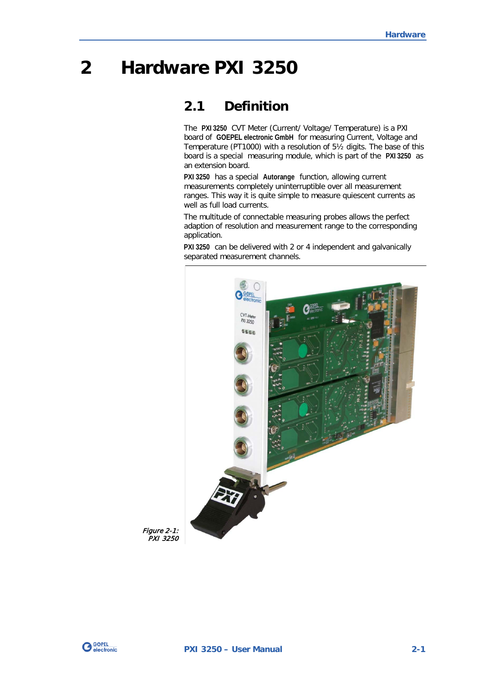# <span id="page-6-0"></span>**2 Hardware PXI 3250**

## <span id="page-6-1"></span>**2.1 Definition**

The **PXI 3250** CVT Meter (Current/ Voltage/ Temperature) is a PXI board of **GOEPEL electronic GmbH** for measuring Current, Voltage and Temperature (PT1000) with a resolution of 5½ digits. The base of this board is a special measuring module, which is part of the **PXI 3250** as an extension board.

**PXI 3250** has a special **Autorange** function, allowing current measurements completely uninterruptible over all measurement ranges. This way it is quite simple to measure quiescent currents as well as full load currents.

The multitude of connectable measuring probes allows the perfect adaption of resolution and measurement range to the corresponding application.

**PXI 3250** can be delivered with 2 or 4 independent and galvanically separated measurement channels.



Figure 2-1: PXI 3250

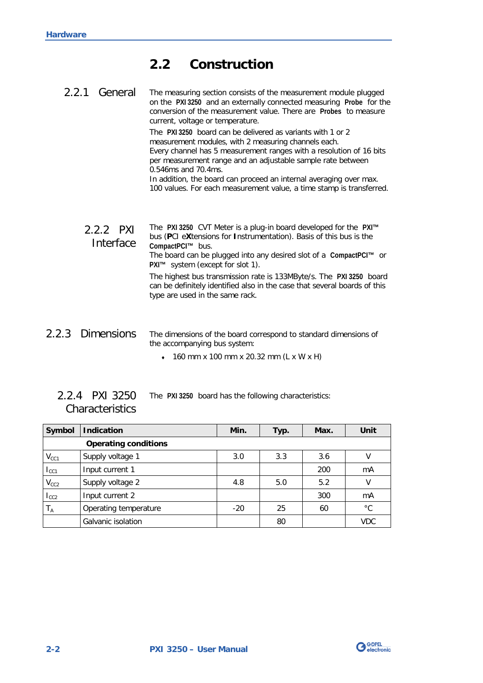# <span id="page-7-0"></span>**2.2 Construction**

<span id="page-7-1"></span>The measuring section consists of the measurement module plugged on the **PXI 3250** and an externally connected measuring **Probe** for the conversion of the measurement value. There are **Probes** to measure current, voltage or temperature. The **PXI 3250** board can be delivered as variants with 1 or 2 measurement modules, with 2 measuring channels each. Every channel has 5 measurement ranges with a resolution of 16 bits per measurement range and an adjustable sample rate between 0.546ms and 70.4ms. In addition, the board can proceed an internal averaging over max. 100 values. For each measurement value, a time stamp is transferred. The **PXI 3250** CVT Meter is a plug-in board developed for the **PXI™** bus (**P**CI e**X**tensions for **I**nstrumentation). Basis of this bus is the **CompactPCI™** bus. The board can be plugged into any desired slot of a **CompactPCI™** or **PXI™** system (except for slot 1). 2.2.1 General 2.2.2 PXI **Interface** 

The highest bus transmission rate is 133MByte/s. The **PXI 3250** board can be definitely identified also in the case that several boards of this type are used in the same rack.

- <span id="page-7-3"></span><span id="page-7-2"></span>The dimensions of the board correspond to standard dimensions of the accompanying bus system: 2.2.3 Dimensions
	- ♦ 160 mm x 100 mm x 20.32 mm (L x W x H)
	- The **PXI 3250** board has the following characteristics: 2.2.4 PXI 3250 **Characteristics**

<span id="page-7-4"></span>

| Symbol    | <b>Indication</b>           | Min.  | Typ. | Max. | Unit        |
|-----------|-----------------------------|-------|------|------|-------------|
|           | <b>Operating conditions</b> |       |      |      |             |
| $V_{CC1}$ | Supply voltage 1            | 3.0   | 3.3  | 3.6  | ٧           |
| $I_{CC1}$ | Input current 1             |       |      | 200  | mA          |
| $V_{CC2}$ | Supply voltage 2            | 4.8   | 5.0  | 5.2  | V           |
| $I_{CC2}$ | Input current 2             |       |      | 300  | mA          |
| $T_A$     | Operating temperature       | $-20$ | 25   | 60   | $^{\circ}C$ |
|           | Galvanic isolation          |       | 80   |      | <b>VDC</b>  |

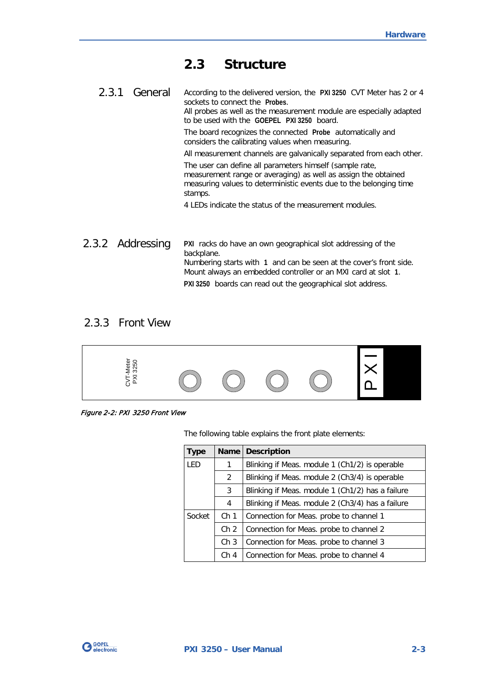## <span id="page-8-0"></span>**2.3 Structure**

<span id="page-8-1"></span>According to the delivered version, the **PXI 3250** CVT Meter has 2 or 4 sockets to connect the **Probes**. 2.3.1 General

All probes as well as the measurement module are especially adapted to be used with the **GOEPEL PXI 3250** board.

The board recognizes the connected **Probe** automatically and considers the calibrating values when measuring.

All measurement channels are galvanically separated from each other.

The user can define all parameters himself (sample rate, measurement range or averaging) as well as assign the obtained measuring values to deterministic events due to the belonging time stamps.

4 LEDs indicate the status of the measurement modules.

<span id="page-8-2"></span>**PXI** racks do have an own geographical slot addressing of the backplane. Numbering starts with **1** and can be seen at the cover's front side. Mount always an embedded controller or an MXI card at slot **1**. **PXI 3250** boards can read out the geographical slot address. 2.3.2 Addressing

#### <span id="page-8-3"></span>2.3.3 Front View



Figure 2-2: PXI 3250 Front View

The following table explains the front plate elements:

| Type   | <b>Name</b>     | <b>Description</b>                               |
|--------|-----------------|--------------------------------------------------|
| LED    | 1               | Blinking if Meas. module 1 (Ch1/2) is operable   |
|        | 2               | Blinking if Meas. module 2 (Ch3/4) is operable   |
|        | 3               | Blinking if Meas. module 1 (Ch1/2) has a failure |
|        | 4               | Blinking if Meas. module 2 (Ch3/4) has a failure |
| Socket | Ch <sub>1</sub> | Connection for Meas. probe to channel 1          |
|        | Ch <sub>2</sub> | Connection for Meas. probe to channel 2          |
|        | Ch <sub>3</sub> | Connection for Meas. probe to channel 3          |
|        | Ch <sub>4</sub> | Connection for Meas. probe to channel 4          |

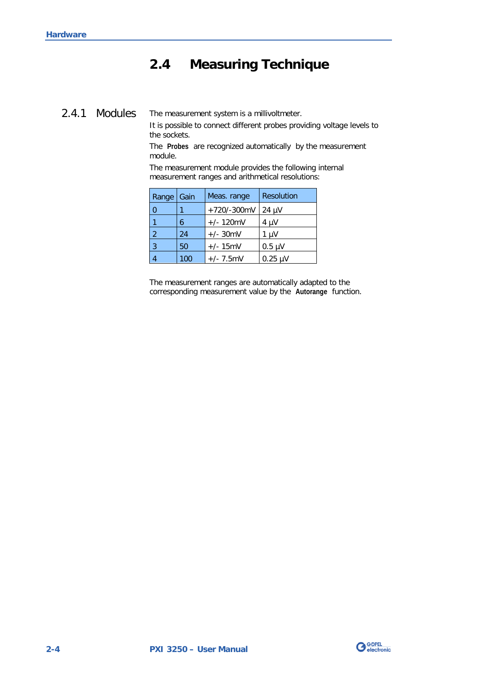# <span id="page-9-0"></span>**2.4 Measuring Technique**

## <span id="page-9-1"></span>2.4.1 Modules

The measurement system is a millivoltmeter.

It is possible to connect different probes providing voltage levels to the sockets.

The **Probes** are recognized automatically by the measurement module.

The measurement module provides the following internal measurement ranges and arithmetical resolutions:

| Range    | Gain | Meas. range   | Resolution   |
|----------|------|---------------|--------------|
| $\Omega$ |      | $+720/-300mV$ | $24 \mu V$   |
|          | 6    | $+/- 120$ mV  | $4 \mu V$    |
| 2        | 24   | $+/- 30$ mV   | 1 µV         |
| 3        | 50   | $+/- 15$ mV   | $0.5 \mu V$  |
|          | 100  | $+/- 7.5$ mV  | $0.25 \mu V$ |

The measurement ranges are automatically adapted to the corresponding measurement value by the **Autorange** function.

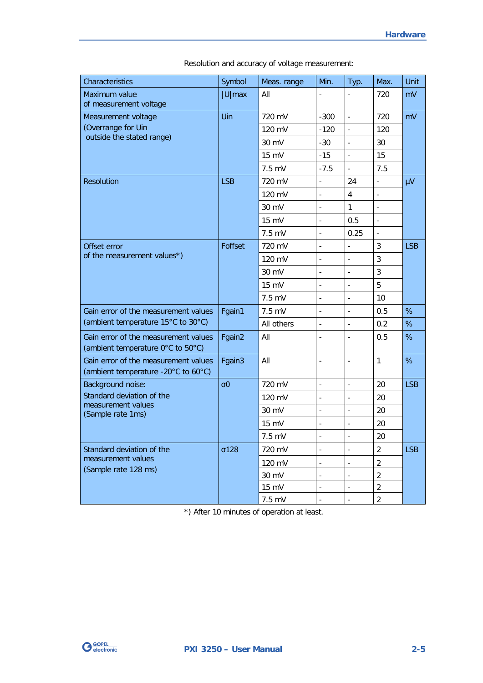| Characteristics                                                             | Symbol                | Meas. range      | Min.                         | Typ.                     | Max.                     | Unit       |
|-----------------------------------------------------------------------------|-----------------------|------------------|------------------------------|--------------------------|--------------------------|------------|
| Maximum value<br>of measurement voltage                                     | $ U $ max             | All              |                              | $\overline{\phantom{0}}$ | 720                      | mV         |
| Measurement voltage                                                         | Uin                   | 720 mV           | $-300$                       | $\frac{1}{2}$            | 720                      | mV         |
| (Overrange for Uin                                                          |                       | 120 mV           | $-120$                       | $\blacksquare$           | 120                      |            |
| outside the stated range)                                                   |                       | 30 mV            | $-30$                        | $\blacksquare$           | 30                       |            |
|                                                                             |                       | 15 mV            | $-15$                        | $\overline{a}$           | 15                       |            |
|                                                                             |                       | $7.5$ mV         | $-7.5$                       | $\overline{a}$           | 7.5                      |            |
| <b>Resolution</b>                                                           | <b>LSB</b>            | 720 mV           | $\blacksquare$               | 24                       | $\overline{\phantom{a}}$ | μV         |
|                                                                             |                       | 120 mV           | $\frac{1}{2}$                | $\overline{4}$           | $\overline{\phantom{a}}$ |            |
|                                                                             |                       | 30 mV            |                              | 1                        | $\blacksquare$           |            |
|                                                                             |                       | 15 mV            | $\overline{\phantom{a}}$     | 0.5                      | $\Box$                   |            |
|                                                                             |                       | $7.5$ mV         | $\overline{\phantom{a}}$     | 0.25                     | $\overline{\phantom{a}}$ |            |
| Offset error                                                                | Foffset               | 720 mV           |                              |                          | 3                        | <b>LSB</b> |
| of the measurement values*)                                                 |                       | 120 mV           | $\overline{\phantom{a}}$     | $\overline{\phantom{a}}$ | $\mathbf{3}$             |            |
|                                                                             |                       | 30 mV            | $\overline{a}$               | $\overline{a}$           | 3                        |            |
|                                                                             |                       | $15 \text{ mV}$  |                              | $\overline{a}$           | 5                        |            |
|                                                                             |                       | $7.5 \text{ mV}$ | $\centerdot$                 | $\overline{\phantom{a}}$ | 10                       |            |
| Gain error of the measurement values                                        | Fgain1                | $7.5$ mV         | $\overline{a}$               | $\overline{\phantom{a}}$ | 0.5                      | %          |
| (ambient temperature 15°C to 30°C)                                          |                       | All others       | $\overline{a}$               | $\overline{a}$           | 0.2                      | %          |
| Gain error of the measurement values<br>(ambient temperature 0°C to 50°C)   | Fgain2                | All              | $\overline{\phantom{0}}$     | $\overline{a}$           | 0.5                      | %          |
| Gain error of the measurement values<br>(ambient temperature -20°C to 60°C) | Fgain3                | All              | $\frac{1}{2}$                | $\overline{a}$           | $\mathbf{1}$             | %          |
| Background noise:                                                           | $\sigma$ <sup>0</sup> | 720 mV           | $\overline{\phantom{0}}$     | $\overline{\phantom{a}}$ | 20                       | <b>LSB</b> |
| Standard deviation of the                                                   |                       | 120 mV           | $\overline{a}$               | $\overline{\phantom{a}}$ | 20                       |            |
| measurement values<br>(Sample rate 1ms)                                     |                       | 30 mV            | $\overline{\phantom{a}}$     | $\overline{\phantom{a}}$ | 20                       |            |
|                                                                             |                       | 15 mV            | $\qquad \qquad \blacksquare$ | $\overline{a}$           | 20                       |            |
|                                                                             |                       | 7.5 mV           |                              |                          | 20                       |            |
| Standard deviation of the                                                   | $\sigma$ 128          | 720 mV           | $\centerdot$                 | $\overline{\phantom{a}}$ | $\overline{2}$           | <b>LSB</b> |
| measurement values                                                          |                       | 120 mV           | $\overline{\phantom{0}}$     | $\overline{\phantom{m}}$ | $\overline{2}$           |            |
| (Sample rate 128 ms)                                                        |                       | 30 mV            |                              |                          | 2                        |            |
|                                                                             |                       | 15 mV            |                              |                          | $\overline{2}$           |            |
|                                                                             |                       | 7.5 mV           | $\overline{\phantom{a}}$     | $\overline{\phantom{a}}$ | $\overline{2}$           |            |

Resolution and accuracy of voltage measurement:

\*) After 10 minutes of operation at least.

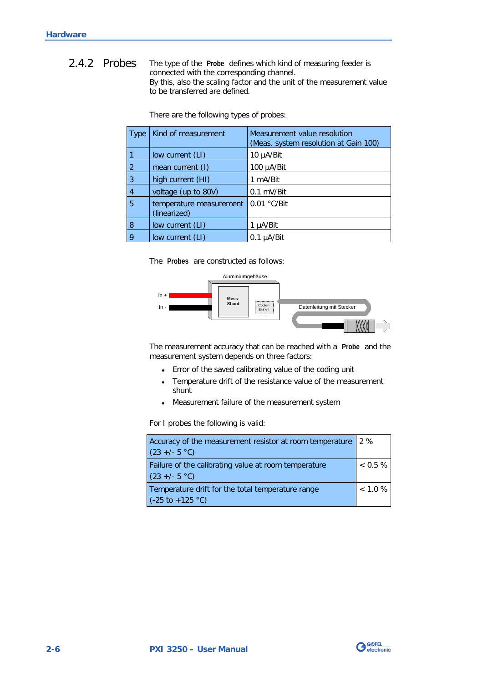<span id="page-11-0"></span>The type of the **Probe** defines which kind of measuring feeder is connected with the corresponding channel. By this, also the scaling factor and the unit of the measurement value to be transferred are defined. 2.4.2 Probes

| Type           | Kind of measurement                     | Measurement value resolution<br>(Meas. system resolution at Gain 100) |
|----------------|-----------------------------------------|-----------------------------------------------------------------------|
|                | low current (LI)                        | 10 µA/Bit                                                             |
| 2              | mean current (I)                        | 100 $\mu$ A/Bit                                                       |
| 3              | high current (HI)                       | 1 mA/Bit                                                              |
| $\overline{4}$ | voltage (up to 80V)                     | 0.1 mV/Bit                                                            |
| 5              | temperature measurement<br>(linearized) | $0.01 °C/B$ it                                                        |
| 8              | low current (LI)                        | 1 µA/Bit                                                              |
| 9              | low current (LI)                        | $0.1 \mu A/B$ it                                                      |

There are the following types of probes:

The **Probes** are constructed as follows:



The measurement accuracy that can be reached with a **Probe** and the measurement system depends on three factors:

- ♦ Error of the saved calibrating value of the coding unit
- ♦ Temperature drift of the resistance value of the measurement shunt
- ♦ Measurement failure of the measurement system

For I probes the following is valid:

| Accuracy of the measurement resistor at room temperature<br>12%                           |            |  |
|-------------------------------------------------------------------------------------------|------------|--|
| $(23 +/- 5 °C)$                                                                           |            |  |
| Failure of the calibrating value at room temperature<br>$(23 +/- 5 °C)$                   | $0.5\%$    |  |
| Temperature drift for the total temperature range<br>$(C.25 \text{ to } +125 \text{ °C})$ | $< 1.0 \%$ |  |

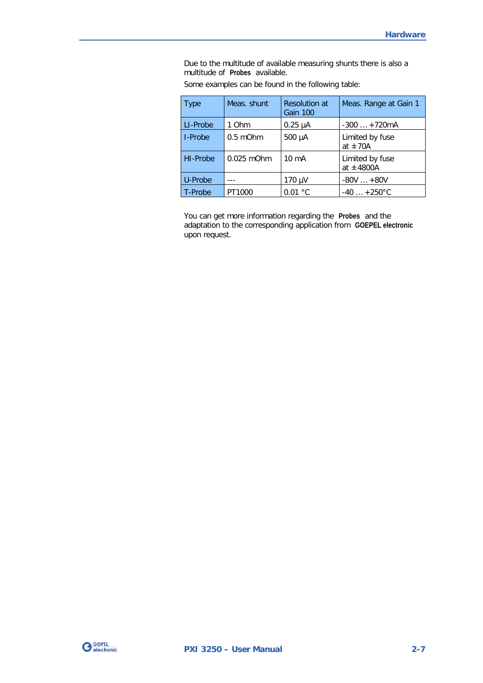Due to the multitude of available measuring shunts there is also a multitude of **Probes** available.

| <b>Type</b> | Meas. shunt   | <b>Resolution at</b><br>Gain 100 | Meas. Range at Gain 1             |
|-------------|---------------|----------------------------------|-----------------------------------|
| LI-Probe    | 1 Ohm         | $0.25 \mu A$                     | $-300+720mA$                      |
| I-Probe     | $0.5$ m $Ohm$ | 500 µA                           | Limited by fuse<br>at $\pm$ 70A   |
| HI-Probe    | $0.025$ mOhm  | $10 \text{ mA}$                  | Limited by fuse<br>at $\pm$ 4800A |
| U-Probe     |               | 170 µV                           | $-80V$ $+80V$                     |
| T-Probe     | PT1000        | 0.01 °C                          | $-40$ $+250^{\circ}$ C            |

Some examples can be found in the following table:

You can get more information regarding the **Probes** and the adaptation to the corresponding application from **GOEPEL electronic** upon request.

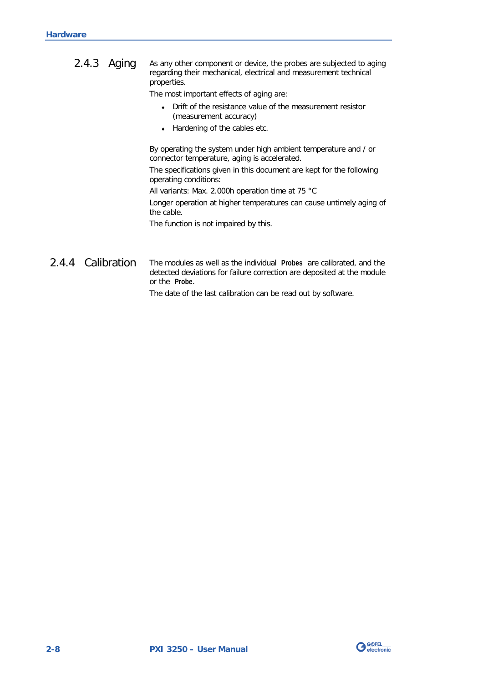<span id="page-13-0"></span>

| $2.4.3$ Aging | As any other component or device, the probes are subjected to aging<br>regarding their mechanical, electrical and measurement technical<br>properties. |
|---------------|--------------------------------------------------------------------------------------------------------------------------------------------------------|
|               | The most important effects of aging are:                                                                                                               |
|               | Drift of the resistance value of the measurement resistor<br>(measurement accuracy)                                                                    |
|               | Hardening of the cables etc.<br>$\bullet$                                                                                                              |
|               | By operating the system under high ambient temperature and / or<br>connector temperature, aging is accelerated.                                        |
|               | The specifications given in this document are kept for the following<br>operating conditions:                                                          |
|               | All variants: Max. 2.000h operation time at 75 $^{\circ}$ C                                                                                            |
|               | Longer operation at higher temperatures can cause untimely aging of<br>the cable.                                                                      |

The function is not impaired by this.

#### <span id="page-13-1"></span>The modules as well as the individual **Probes** are calibrated, and the detected deviations for failure correction are deposited at the module or the **Probe**. 2.4.4 Calibration

The date of the last calibration can be read out by software.

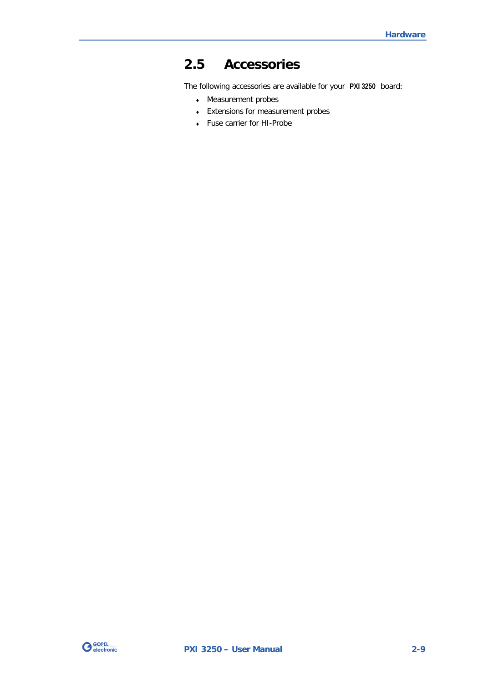# <span id="page-14-0"></span>**2.5 Accessories**

The following accessories are available for your **PXI 3250** board:

- ♦ Measurement probes
- ♦ Extensions for measurement probes
- ♦ Fuse carrier for HI-Probe

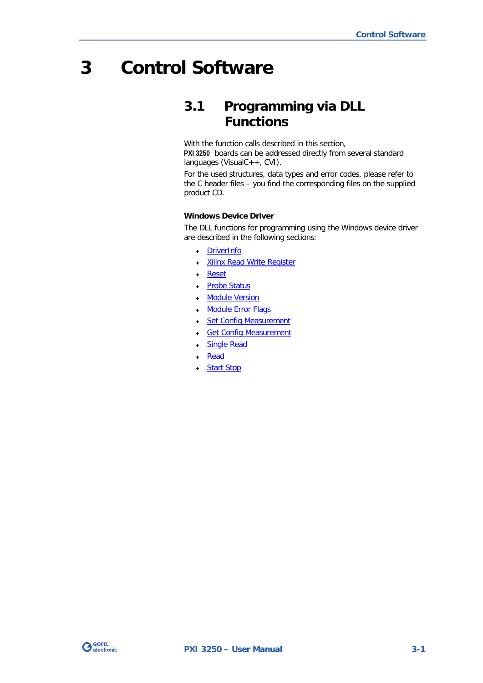# <span id="page-16-0"></span>**3 Control Software**

# <span id="page-16-1"></span>**3.1 Programming via DLL Functions**

With the function calls described in this section, **PXI 3250** boards can be addressed directly from several standard languages (VisualC++, CVI).

For the used structures, data types and error codes, please refer to the C header files – you find the corresponding files on the supplied product CD.

#### **Windows Device Driver**

The DLL functions for programming using the Windows device driver are described in the following sections:

- ♦ [DriverInfo](#page-17-0)
- **Xilinx Read Write Register**
- **Reset**
- Probe Status
- **Module Version**
- Module Error Flags
- **Set Config Measurement**
- **Get Config Measurement**
- **Single Read**
- Read
- **Start Stop**

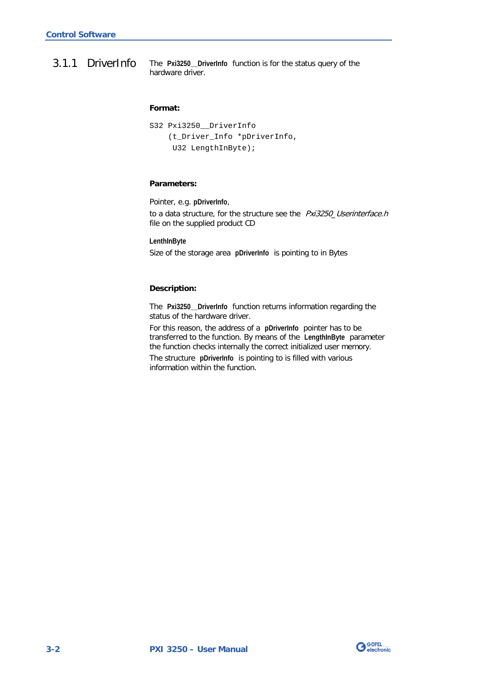<span id="page-17-0"></span>The **Pxi3250\_\_DriverInfo** function is for the status query of the hardware driver. 3.1.1 DriverInfo

#### **Format:**

```
S32 Pxi3250__DriverInfo
 (t_Driver_Info *pDriverInfo,
 U32 LengthInByte);
```
#### **Parameters:**

Pointer, e.g. **pDriverInfo**,

to a data structure, for the structure see the Pxi3250\_Userinterface.h file on the supplied product CD

**LenthInByte**

Size of the storage area **pDriverInfo** is pointing to in Bytes

#### **Description:**

The **Pxi3250\_\_DriverInfo** function returns information regarding the status of the hardware driver.

For this reason, the address of a **pDriverInfo** pointer has to be transferred to the function. By means of the **LengthInByte** parameter the function checks internally the correct initialized user memory.

The structure **pDriverInfo** is pointing to is filled with various information within the function.

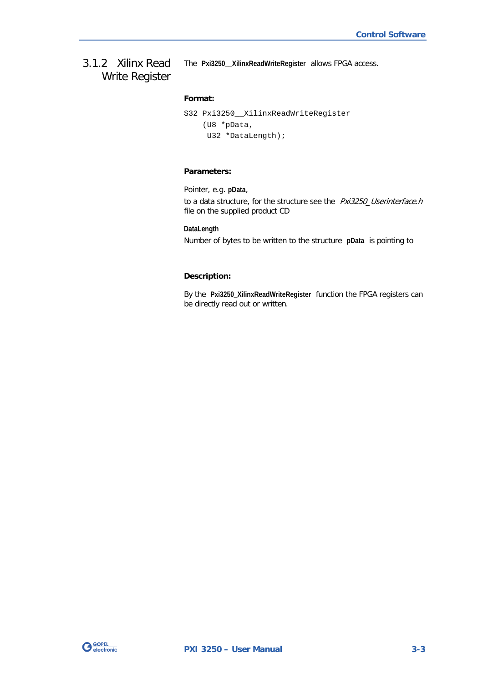## <span id="page-18-1"></span><span id="page-18-0"></span>3.1.2 Xilinx Read Write Register

The **Pxi3250\_\_XilinxReadWriteRegister** allows FPGA access.

#### **Format:**

```
S32 Pxi3250__XilinxReadWriteRegister
 (U8 *pData,
 U32 *DataLength);
```
#### **Parameters:**

Pointer, e.g. **pData**, to a data structure, for the structure see the Pxi3250\_Userinterface.h file on the supplied product CD

**DataLength** Number of bytes to be written to the structure **pData** is pointing to

#### **Description:**

By the **Pxi3250\_XilinxReadWriteRegister** function the FPGA registers can be directly read out or written.

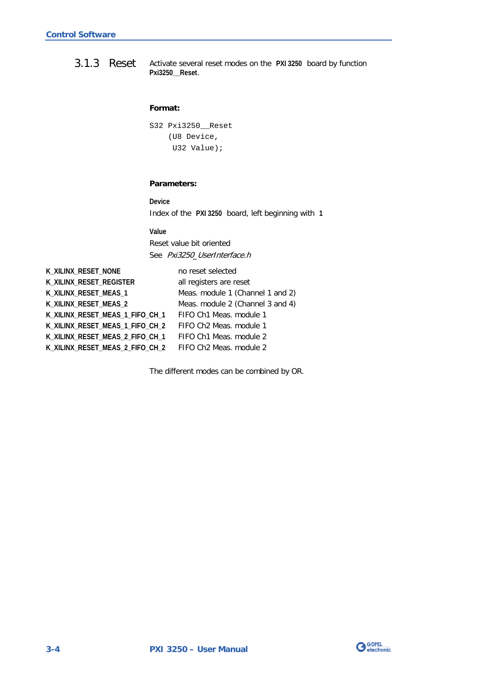<span id="page-19-1"></span><span id="page-19-0"></span>Activate several reset modes on the **PXI 3250** board by function **Pxi3250\_\_Reset**. 3.1.3 Reset

#### **Format:**

```
S32 Pxi3250__Reset
 (U8 Device,
 U32 Value);
```
#### **Parameters:**

**Device** Index of the **PXI 3250** board, left beginning with **1**

**Value**

Reset value bit oriented See Pxi3250 UserInterface.h

**K\_XILINX\_RESET\_NONE** no reset selected K\_XILINX\_RESET\_REGISTER all registers are reset **K\_XILINX\_RESET\_MEAS\_1** Meas. module 1 (Channel 1 and 2) **K\_XILINX\_RESET\_MEAS\_2** Meas. module 2 (Channel 3 and 4) **K\_XILINX\_RESET\_MEAS\_1\_FIFO\_CH\_1** FIFO Ch1 Meas. module 1 **K\_XILINX\_RESET\_MEAS\_1\_FIFO\_CH\_2** FIFO Ch2 Meas. module 1 **K\_XILINX\_RESET\_MEAS\_2\_FIFO\_CH\_1** FIFO Ch1 Meas. module 2 **K\_XILINX\_RESET\_MEAS\_2\_FIFO\_CH\_2** FIFO Ch2 Meas. module 2

The different modes can be combined by OR.

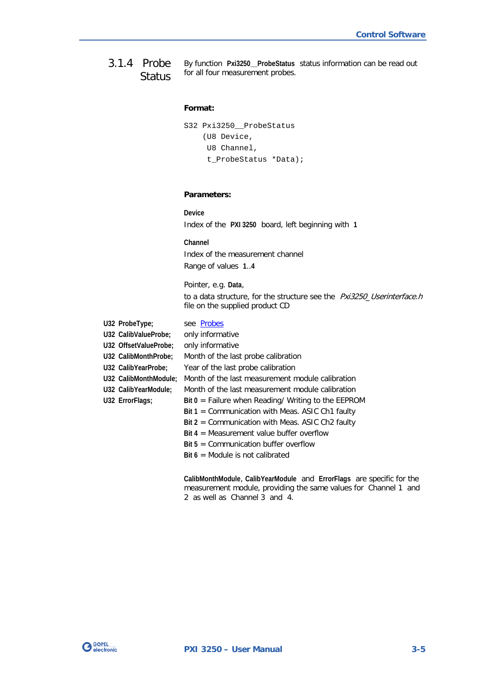<span id="page-20-1"></span><span id="page-20-0"></span>By function **Pxi3250\_\_ProbeStatus** status information can be read out for all four measurement probes. 3.1.4 Probe **Status** 

#### **Format:**

```
S32 Pxi3250__ProbeStatus
 (U8 Device,
  U8 Channel,
  t_ProbeStatus *Data);
```
#### **Parameters:**

**Device** Index of the **PXI 3250** board, left beginning with **1**

**Channel** Index of the measurement channel Range of values **1**..**4**

Pointer, e.g. **Data**, to a data structure, for the structure see the Pxi3250\_Userinterface.h file on the supplied product CD

U32 ProbeType; see **Probes U32 CalibValueProbe;** only informative **U32 OffsetValueProbe;** only informative **U32 CalibMonthProbe;** Month of the last probe calibration **U32 CalibYearProbe;** Year of the last probe calibration **U32 CalibMonthModule;** Month of the last measurement module calibration **U32 CalibYearModule;** Month of the last measurement module calibration **U32 ErrorFlags; Bit 0** = Failure when Reading/ Writing to the EEPROM **Bit 1** = Communication with Meas. ASIC Ch1 faulty **Bit 2** = Communication with Meas. ASIC Ch2 faulty **Bit 4** = Measurement value buffer overflow **Bit 5** = Communication buffer overflow **Bit 6** = Module is not calibrated

> **CalibMonthModule**, **CalibYearModule** and **ErrorFlags** are specific for the measurement module, providing the same values for Channel 1 and 2 as well as Channel 3 and 4.

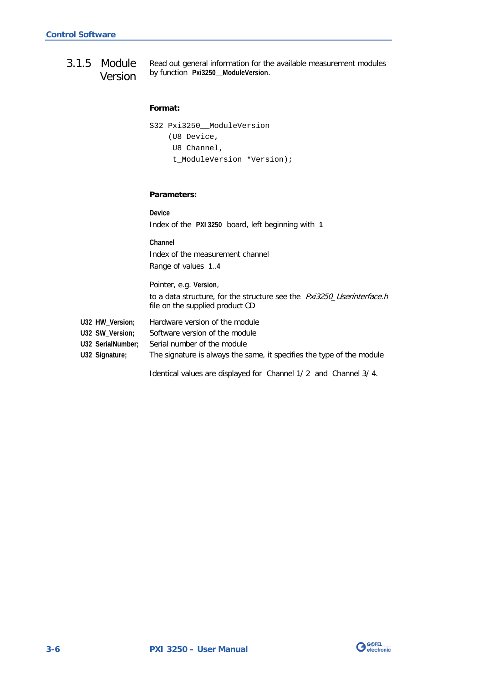<span id="page-21-1"></span><span id="page-21-0"></span>Read out general information for the available measurement modules by function **Pxi3250\_\_ModuleVersion**. 3.1.5 Module Version

```
Format:
```

```
S32 Pxi3250__ModuleVersion
 (U8 Device,
 U8 Channel,
  t_ModuleVersion *Version);
```
#### **Parameters:**

**Device** Index of the **PXI 3250** board, left beginning with **1 Channel** Index of the measurement channel Range of values **1**..**4** Pointer, e.g. **Version**,

to a data structure, for the structure see the Pxi3250\_Userinterface.h file on the supplied product CD

- **U32 HW\_Version;** Hardware version of the module
- **U32 SW\_Version;** Software version of the module
- **U32 SerialNumber;** Serial number of the module
- **U32 Signature;** The signature is always the same, it specifies the type of the module

Identical values are displayed for Channel 1/ 2 and Channel 3/ 4.

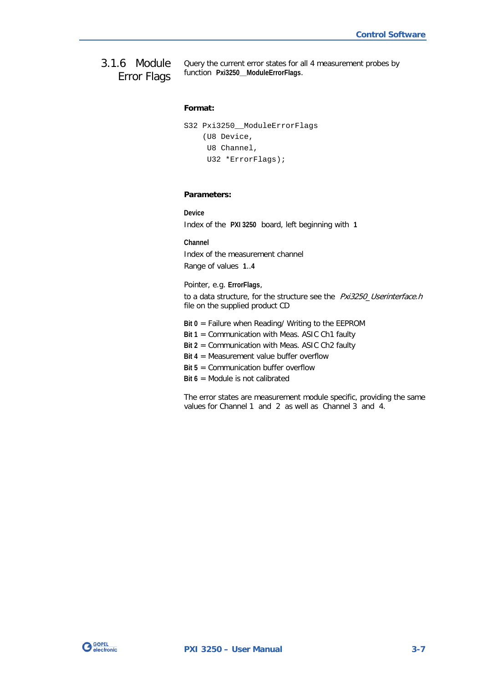<span id="page-22-1"></span><span id="page-22-0"></span>Query the current error states for all 4 measurement probes by function **Pxi3250\_\_ModuleErrorFlags**. 3.1.6 Module Error Flags

#### **Format:**

```
S32 Pxi3250__ModuleErrorFlags
 (U8 Device,
  U8 Channel,
  U32 *ErrorFlags);
```
#### **Parameters:**

**Device** Index of the **PXI 3250** board, left beginning with **1**

**Channel** Index of the measurement channel Range of values **1**..**4**

Pointer, e.g. **ErrorFlags**, to a data structure, for the structure see the Pxi3250\_Userinterface.h file on the supplied product CD

- **Bit 0** = Failure when Reading/ Writing to the EEPROM
- **Bit 1** = Communication with Meas. ASIC Ch1 faulty
- **Bit 2** = Communication with Meas. ASIC Ch2 faulty
- **Bit 4** = Measurement value buffer overflow
- **Bit 5** = Communication buffer overflow
- **Bit 6** = Module is not calibrated

The error states are measurement module specific, providing the same values for Channel 1 and 2 as well as Channel 3 and 4.

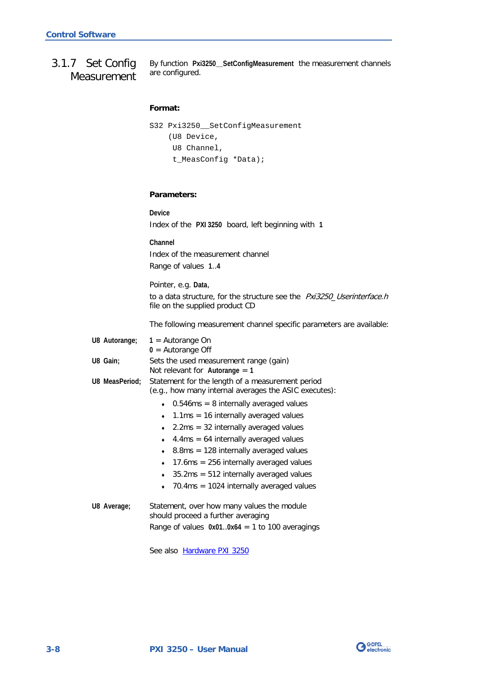<span id="page-23-1"></span><span id="page-23-0"></span>By function **Pxi3250\_\_SetConfigMeasurement** the measurement channels are configured. 3.1.7 Set Config Measurement

```
Format:
```

```
S32 Pxi3250__SetConfigMeasurement
 (U8 Device,
 U8 Channel,
  t_MeasConfig *Data);
```
#### **Parameters:**

**Device** Index of the **PXI 3250** board, left beginning with **1**

**Channel** Index of the measurement channel Range of values **1**..**4**

Pointer, e.g. **Data**, to a data structure, for the structure see the Pxi3250\_Userinterface.h file on the supplied product CD

The following measurement channel specific parameters are available:

| U8 Autorange;  | $1 =$ Autorange On<br>$0 =$ Autorange Off                                                                 |  |  |  |
|----------------|-----------------------------------------------------------------------------------------------------------|--|--|--|
| U8 Gain;       | Sets the used measurement range (gain)<br>Not relevant for Autorange $=$ 1                                |  |  |  |
| U8 MeasPeriod; | Statement for the length of a measurement period<br>(e.g., how many internal averages the ASIC executes): |  |  |  |
|                | $0.546$ ms = 8 internally averaged values                                                                 |  |  |  |
|                | $1.1\text{ms} = 16$ internally averaged values<br>٠                                                       |  |  |  |
|                | $2.2ms = 32$ internally averaged values                                                                   |  |  |  |
|                | $4.4 \text{ms} = 64$ internally averaged values<br>٠                                                      |  |  |  |
|                | $8.8\text{ms} = 128$ internally averaged values<br>۰                                                      |  |  |  |
|                | 17.6 ms $= 256$ internally averaged values<br>$\bullet$                                                   |  |  |  |
|                | $35.2 \text{ms} = 512$ internally averaged values<br>۰                                                    |  |  |  |
|                | $70.4 \text{ms} = 1024$ internally averaged values                                                        |  |  |  |
| U8 Average;    | Statement, over how many values the module<br>should proceed a further averaging                          |  |  |  |

Range of values **0x01**..**0x64** = 1 to 100 averagings

See also Hardware PXI 3250

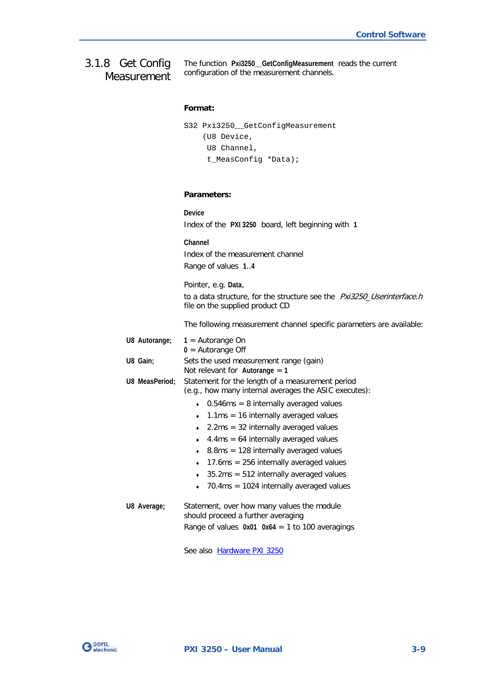<span id="page-24-1"></span><span id="page-24-0"></span>The function **Pxi3250\_\_GetConfigMeasurement** reads the current configuration of the measurement channels. 3.1.8 Get Config Measurement

#### **Format:**

```
S32 Pxi3250__GetConfigMeasurement
(U8 Device,
 U8 Channel,
  t_MeasConfig *Data);
```
#### **Parameters:**

|                | Device<br>Index of the PXI 3250 board, left beginning with 1                                                                                                                                                                                                                                                                                                                                                                                                                      |  |  |  |
|----------------|-----------------------------------------------------------------------------------------------------------------------------------------------------------------------------------------------------------------------------------------------------------------------------------------------------------------------------------------------------------------------------------------------------------------------------------------------------------------------------------|--|--|--|
|                | Channel<br>Index of the measurement channel<br>Range of values 14                                                                                                                                                                                                                                                                                                                                                                                                                 |  |  |  |
|                | Pointer, e.g. Data,<br>to a data structure, for the structure see the <i>Pxi3250_Userinterface.h</i><br>file on the supplied product CD                                                                                                                                                                                                                                                                                                                                           |  |  |  |
|                | The following measurement channel specific parameters are available:                                                                                                                                                                                                                                                                                                                                                                                                              |  |  |  |
| U8 Autorange;  | $1 =$ Autorange On<br>$0 =$ Autorange Off                                                                                                                                                                                                                                                                                                                                                                                                                                         |  |  |  |
| U8 Gain;       | Sets the used measurement range (gain)<br>Not relevant for Autorange $= 1$                                                                                                                                                                                                                                                                                                                                                                                                        |  |  |  |
| U8 MeasPeriod: | Statement for the length of a measurement period<br>(e.g., how many internal averages the ASIC executes):                                                                                                                                                                                                                                                                                                                                                                         |  |  |  |
|                | $\bullet$ 0.546ms = 8 internally averaged values<br>$1.1 \text{ms} = 16$ internally averaged values<br>$\bullet$<br>$2.2ms = 32$ internally averaged values<br>$\bullet$<br>$4.4 \text{ms} = 64$ internally averaged values<br>$8.8\text{ms} = 128$ internally averaged values<br>$\bullet$<br>17.6ms = $256$ internally averaged values<br>۰<br>$35.2\text{ms} = 512$ internally averaged values<br>$\bullet$<br>$70.4 \text{ms} = 1024$ internally averaged values<br>$\bullet$ |  |  |  |
| U8 Average;    | Statement, over how many values the module<br>should proceed a further averaging<br>Range of values $0x01$ $0x64 = 1$ to 100 averagings                                                                                                                                                                                                                                                                                                                                           |  |  |  |

See also **Hardware PXI 3250** 

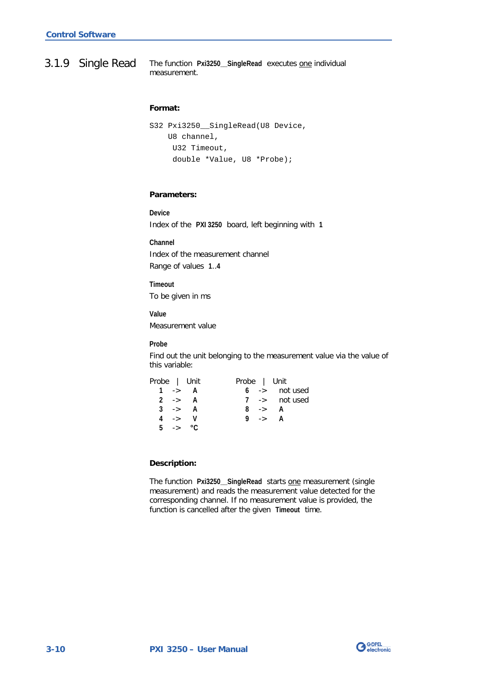<span id="page-25-1"></span><span id="page-25-0"></span>The function **Pxi3250\_\_SingleRead** executes one individual measurement. 3.1.9 Single Read

#### **Format:**

```
S32 Pxi3250__SingleRead(U8 Device,
U8 channel,
 U32 Timeout,
  double *Value, U8 *Probe);
```
#### **Parameters:**

**Device** Index of the **PXI 3250** board, left beginning with **1**

**Channel** Index of the measurement channel Range of values **1**..**4**

**Timeout** To be given in ms

**Value** Measurement value

**Probe**

Find out the unit belonging to the measurement value via the value of this variable:

| Probe   Unit |                    | Probe   Unit |        |                          |
|--------------|--------------------|--------------|--------|--------------------------|
| 1 -> $A$     |                    |              |        | $6 \rightarrow$ not used |
|              | $2 \rightarrow A$  |              |        | $7 \rightarrow$ not used |
|              | $3 \rightarrow A$  |              | 8 -> A |                          |
|              | $4 \rightarrow V$  |              | 9 -> A |                          |
|              | 5 $\rightarrow$ °C |              |        |                          |

#### **Description:**

The function **Pxi3250\_\_SingleRead** starts one measurement (single measurement) and reads the measurement value detected for the corresponding channel. If no measurement value is provided, the function is cancelled after the given **Timeout** time.

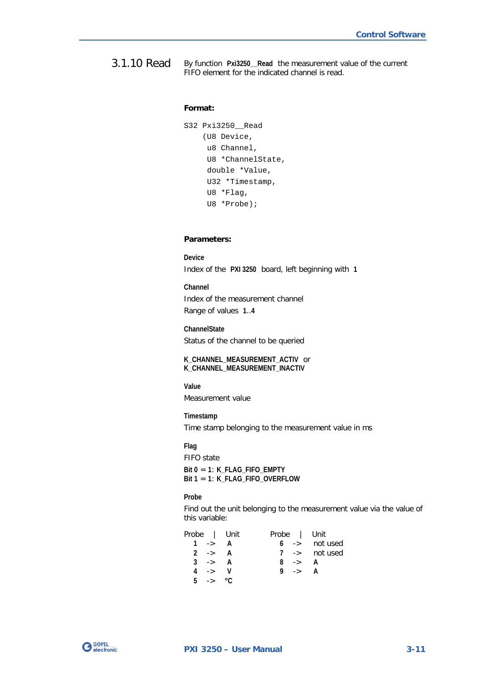<span id="page-26-1"></span><span id="page-26-0"></span>By function **Pxi3250\_\_Read** the measurement value of the current FIFO element for the indicated channel is read. 3.1.10 Read

#### **Format:**

```
S32 Pxi3250__Read
 (U8 Device,
  u8 Channel,
  U8 *ChannelState,
  double *Value,
  U32 *Timestamp,
  U8 *Flag,
  U8 *Probe);
```
#### **Parameters:**

**Device** Index of the **PXI 3250** board, left beginning with **1**

**Channel** Index of the measurement channel Range of values **1**..**4**

**ChannelState** Status of the channel to be queried

**K\_CHANNEL\_MEASUREMENT\_ACTIV** or **K\_CHANNEL\_MEASUREMENT\_INACTIV**

**Value** Measurement value

**Timestamp** Time stamp belonging to the measurement value in ms

**Flag** FIFO state **Bit 0** = **1**: **K\_FLAG\_FIFO\_EMPTY Bit 1** = **1**: **K\_FLAG\_FIFO\_OVERFLOW**

**Probe**

Find out the unit belonging to the measurement value via the value of this variable:

|                   | Probe   Unit | Probe   Unit      |                          |
|-------------------|--------------|-------------------|--------------------------|
| $1 \rightarrow A$ |              |                   | $6 \rightarrow$ not used |
| $2 \rightarrow A$ |              |                   | $7 \rightarrow$ not used |
| $3 \rightarrow A$ |              | $8 \rightarrow A$ |                          |
| 4 -> V            |              | 9 -> A            |                          |
| 5 -> $\degree$ C  |              |                   |                          |

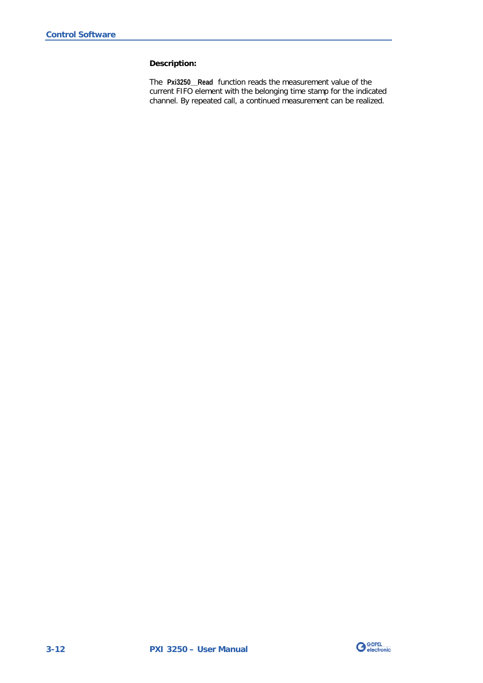#### **Description:**

The **Pxi3250\_\_Read** function reads the measurement value of the current FIFO element with the belonging time stamp for the indicated channel. By repeated call, a continued measurement can be realized.

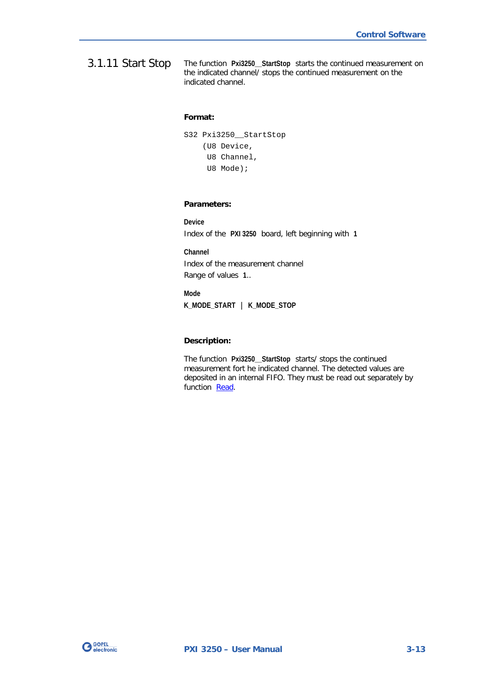<span id="page-28-1"></span><span id="page-28-0"></span>The function **Pxi3250\_\_StartStop** starts the continued measurement on the indicated channel/ stops the continued measurement on the indicated channel. 3.1.11 Start Stop

#### **Format:**

|  | S32 Pxi3250 StartStop |
|--|-----------------------|
|  | (U8 Device,           |
|  | U8 Channel,           |
|  | U8 Mode);             |

#### **Parameters:**

**Device** Index of the **PXI 3250** board, left beginning with **1**

**Channel** Index of the measurement channel Range of values **1**..

**Mode K\_MODE\_START** | **K\_MODE\_STOP**

#### **Description:**

The function **Pxi3250\_\_StartStop** starts/ stops the continued measurement fort he indicated channel. The detected values are deposited in an internal FIFO. They must be read out separately by function [Read.](#page-26-1)

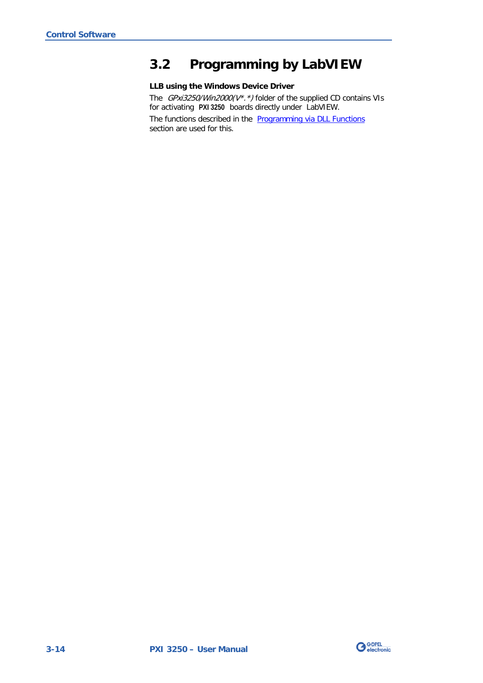# <span id="page-29-0"></span>**3.2 Programming by LabVIEW**

#### **LLB using the Windows Device Driver**

The  $GPxi3250/Win2000(V^*.*)$  folder of the supplied CD contains VIs for activating **PXI 3250** boards directly under LabVIEW.

The functions described in the **Programming via DLL Functions** section are used for this.